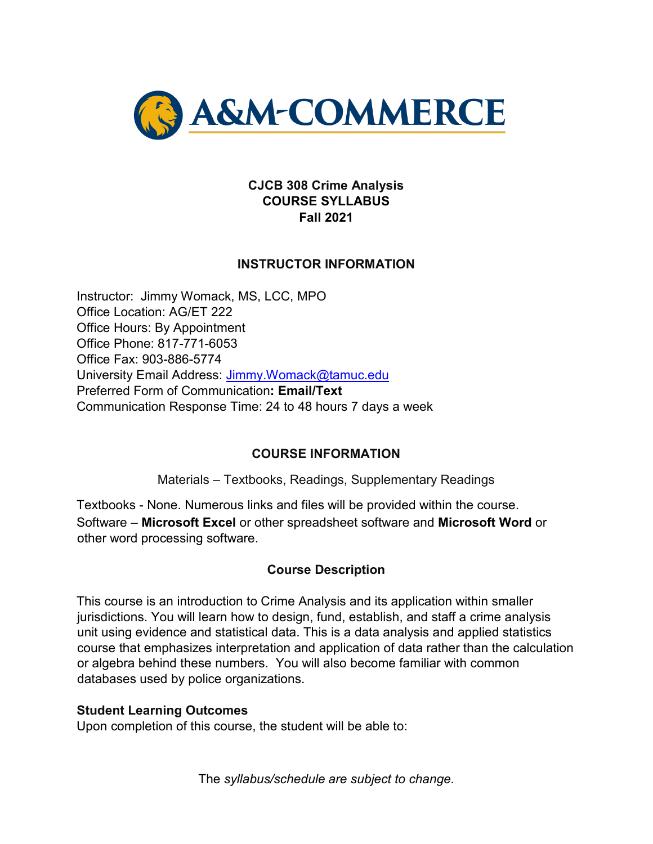

#### **CJCB 308 Crime Analysis COURSE SYLLABUS Fall 2021**

### **INSTRUCTOR INFORMATION**

Instructor: Jimmy Womack, MS, LCC, MPO Office Location: AG/ET 222 Office Hours: By Appointment Office Phone: 817-771-6053 Office Fax: 903-886-5774 University Email Address: Jimmy.Womack@tamuc.edu Preferred Form of Communication**: Email/Text**  Communication Response Time: 24 to 48 hours 7 days a week

#### **COURSE INFORMATION**

Materials – Textbooks, Readings, Supplementary Readings

Textbooks - None. Numerous links and files will be provided within the course. Software – **Microsoft Excel** or other spreadsheet software and **Microsoft Word** or other word processing software.

### **Course Description**

This course is an introduction to Crime Analysis and its application within smaller jurisdictions. You will learn how to design, fund, establish, and staff a crime analysis unit using evidence and statistical data. This is a data analysis and applied statistics course that emphasizes interpretation and application of data rather than the calculation or algebra behind these numbers. You will also become familiar with common databases used by police organizations.

#### **Student Learning Outcomes**

Upon completion of this course, the student will be able to: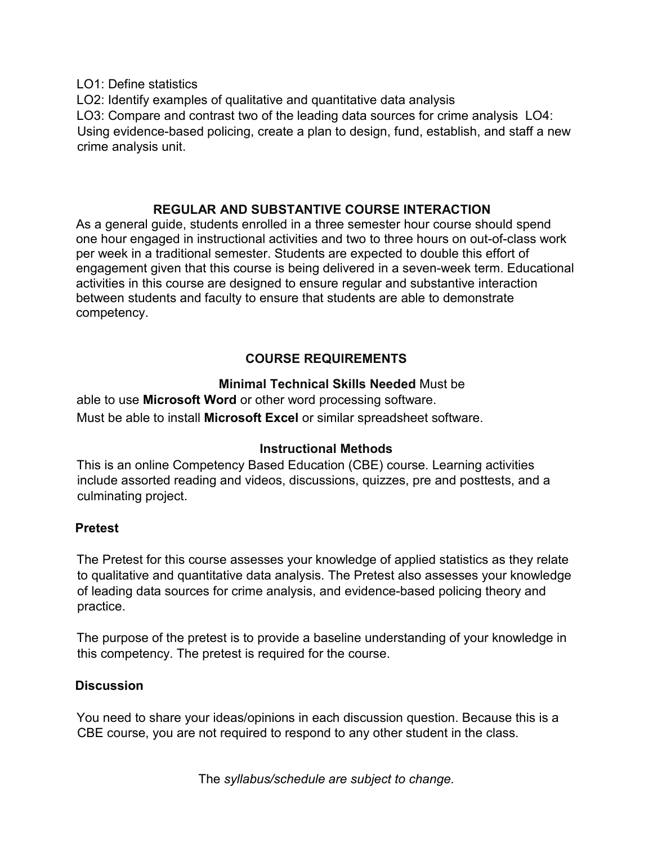LO1: Define statistics

LO2: Identify examples of qualitative and quantitative data analysis LO3: Compare and contrast two of the leading data sources for crime analysis LO4: Using evidence-based policing, create a plan to design, fund, establish, and staff a new crime analysis unit.

## **REGULAR AND SUBSTANTIVE COURSE INTERACTION**

As a general guide, students enrolled in a three semester hour course should spend one hour engaged in instructional activities and two to three hours on out-of-class work per week in a traditional semester. Students are expected to double this effort of engagement given that this course is being delivered in a seven-week term. Educational activities in this course are designed to ensure regular and substantive interaction between students and faculty to ensure that students are able to demonstrate competency.

# **COURSE REQUIREMENTS**

## **Minimal Technical Skills Needed** Must be

able to use **Microsoft Word** or other word processing software. Must be able to install **Microsoft Excel** or similar spreadsheet software.

## **Instructional Methods**

This is an online Competency Based Education (CBE) course. Learning activities include assorted reading and videos, discussions, quizzes, pre and posttests, and a culminating project.

## **Pretest**

The Pretest for this course assesses your knowledge of applied statistics as they relate to qualitative and quantitative data analysis. The Pretest also assesses your knowledge of leading data sources for crime analysis, and evidence-based policing theory and practice.

The purpose of the pretest is to provide a baseline understanding of your knowledge in this competency. The pretest is required for the course.

## **Discussion**

You need to share your ideas/opinions in each discussion question. Because this is a CBE course, you are not required to respond to any other student in the class.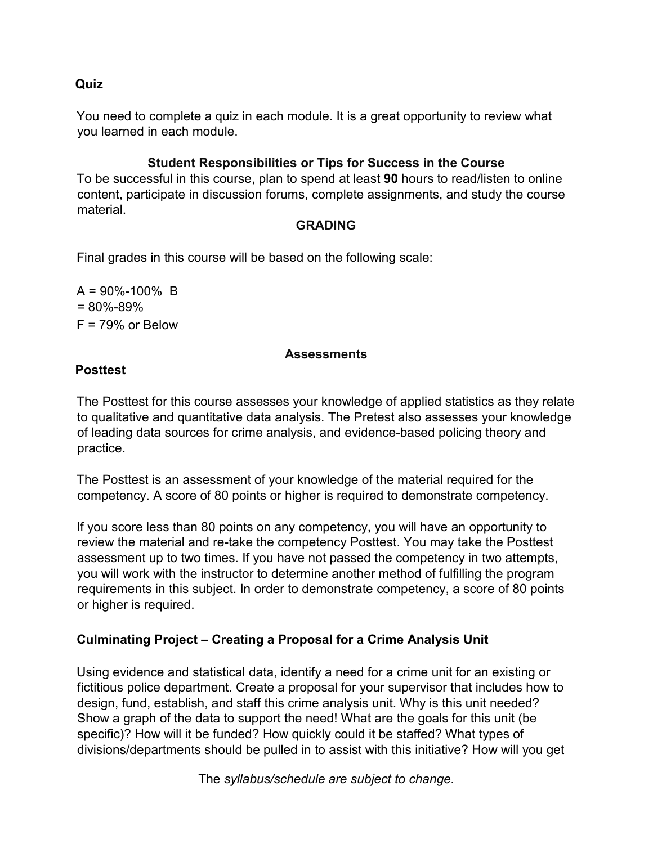#### **Quiz**

You need to complete a quiz in each module. It is a great opportunity to review what you learned in each module.

### **Student Responsibilities or Tips for Success in the Course**

To be successful in this course, plan to spend at least **90** hours to read/listen to online content, participate in discussion forums, complete assignments, and study the course material.

#### **GRADING**

Final grades in this course will be based on the following scale:

 $A = 90\% - 100\%$  B  $= 80\% - 89\%$  $F = 79%$  or Below

#### **Assessments**

### **Posttest**

The Posttest for this course assesses your knowledge of applied statistics as they relate to qualitative and quantitative data analysis. The Pretest also assesses your knowledge of leading data sources for crime analysis, and evidence-based policing theory and practice.

The Posttest is an assessment of your knowledge of the material required for the competency. A score of 80 points or higher is required to demonstrate competency.

If you score less than 80 points on any competency, you will have an opportunity to review the material and re-take the competency Posttest. You may take the Posttest assessment up to two times. If you have not passed the competency in two attempts, you will work with the instructor to determine another method of fulfilling the program requirements in this subject. In order to demonstrate competency, a score of 80 points or higher is required.

## **Culminating Project – Creating a Proposal for a Crime Analysis Unit**

Using evidence and statistical data, identify a need for a crime unit for an existing or fictitious police department. Create a proposal for your supervisor that includes how to design, fund, establish, and staff this crime analysis unit. Why is this unit needed? Show a graph of the data to support the need! What are the goals for this unit (be specific)? How will it be funded? How quickly could it be staffed? What types of divisions/departments should be pulled in to assist with this initiative? How will you get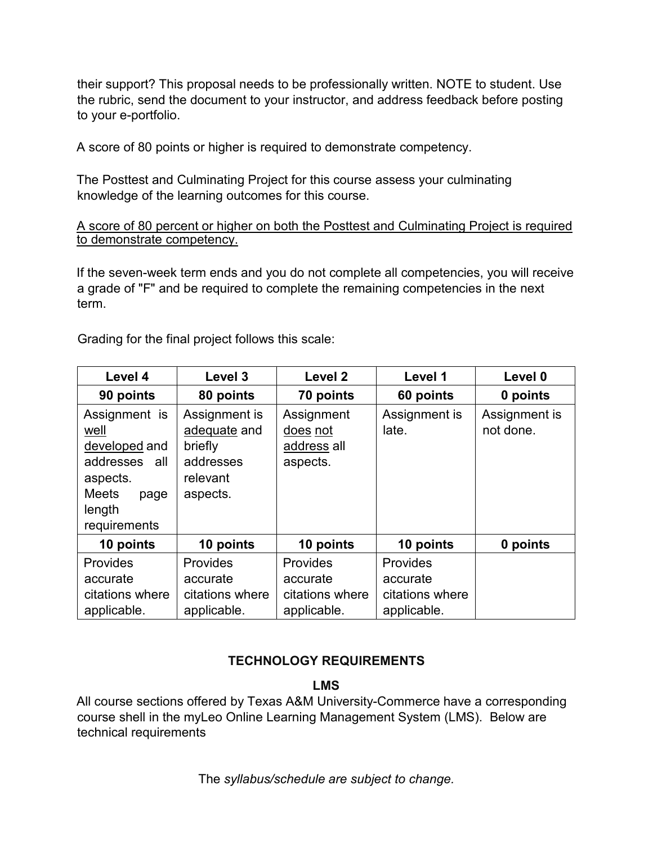their support? This proposal needs to be professionally written. NOTE to student. Use the rubric, send the document to your instructor, and address feedback before posting to your e-portfolio.

A score of 80 points or higher is required to demonstrate competency.

The Posttest and Culminating Project for this course assess your culminating knowledge of the learning outcomes for this course.

#### A score of 80 percent or higher on both the Posttest and Culminating Project is required to demonstrate competency.

If the seven-week term ends and you do not complete all competencies, you will receive a grade of "F" and be required to complete the remaining competencies in the next term.

Grading for the final project follows this scale:

| Level 4                                                                                                                         | Level 3                                                                       | Level 2                                                | Level 1                                                | Level 0                    |
|---------------------------------------------------------------------------------------------------------------------------------|-------------------------------------------------------------------------------|--------------------------------------------------------|--------------------------------------------------------|----------------------------|
| 90 points                                                                                                                       | 80 points                                                                     | 70 points                                              | 60 points                                              | 0 points                   |
| Assignment is<br><u>well</u><br>developed and<br>addresses<br>all<br>aspects.<br><b>Meets</b><br>page<br>length<br>requirements | Assignment is<br>adequate and<br>briefly<br>addresses<br>relevant<br>aspects. | Assignment<br>does not<br>address all<br>aspects.      | Assignment is<br>late.                                 | Assignment is<br>not done. |
| 10 points                                                                                                                       | 10 points                                                                     | 10 points                                              | 10 points                                              | 0 points                   |
| <b>Provides</b><br>accurate<br>citations where<br>applicable.                                                                   | Provides<br>accurate<br>citations where<br>applicable.                        | Provides<br>accurate<br>citations where<br>applicable. | Provides<br>accurate<br>citations where<br>applicable. |                            |

## **TECHNOLOGY REQUIREMENTS**

**LMS** 

All course sections offered by Texas A&M University-Commerce have a corresponding course shell in the myLeo Online Learning Management System (LMS). Below are technical requirements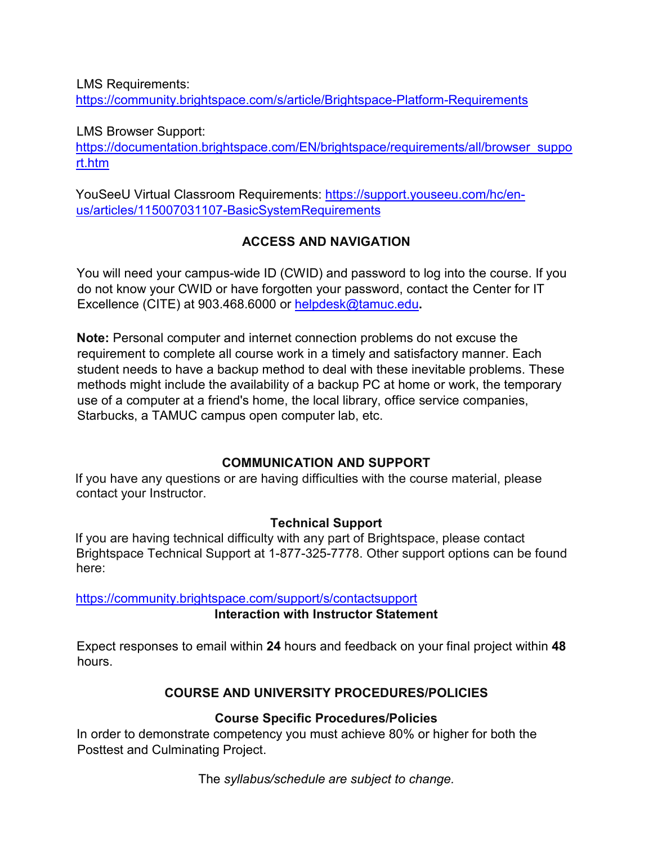LMS Requirements:

<https://community.brightspace.com/s/article/Brightspace-Platform-Requirements>

LMS Browser Support:

[https://documentation.brightspace.com/EN/brightspace/requirements/all/browser\\_suppo](https://documentation.brightspace.com/EN/brightspace/requirements/all/browser_support.htm) [rt.htm](https://documentation.brightspace.com/EN/brightspace/requirements/all/browser_support.htm) 

YouSeeU Virtual Classroom Requirements: [https://support.youseeu.com/hc/en](https://support.youseeu.com/hc/en-us/articles/115007031107-Basic-System-Requirements)[us/articles/115007031107-BasicSystemRequirements](https://support.youseeu.com/hc/en-us/articles/115007031107-Basic-System-Requirements) 

## **ACCESS AND NAVIGATION**

You will need your campus-wide ID (CWID) and password to log into the course. If you do not know your CWID or have forgotten your password, contact the Center for IT Excellence (CITE) at 903.468.6000 or helpdesk@tamuc.edu**.** 

**Note:** Personal computer and internet connection problems do not excuse the requirement to complete all course work in a timely and satisfactory manner. Each student needs to have a backup method to deal with these inevitable problems. These methods might include the availability of a backup PC at home or work, the temporary use of a computer at a friend's home, the local library, office service companies, Starbucks, a TAMUC campus open computer lab, etc.

## **COMMUNICATION AND SUPPORT**

If you have any questions or are having difficulties with the course material, please contact your Instructor.

### **Technical Support**

If you are having technical difficulty with any part of Brightspace, please contact Brightspace Technical Support at 1-877-325-7778. Other support options can be found here:

<https://community.brightspace.com/support/s/contactsupport>

**Interaction with Instructor Statement** 

Expect responses to email within **24** hours and feedback on your final project within **48** hours.

## **COURSE AND UNIVERSITY PROCEDURES/POLICIES**

### **Course Specific Procedures/Policies**

In order to demonstrate competency you must achieve 80% or higher for both the Posttest and Culminating Project.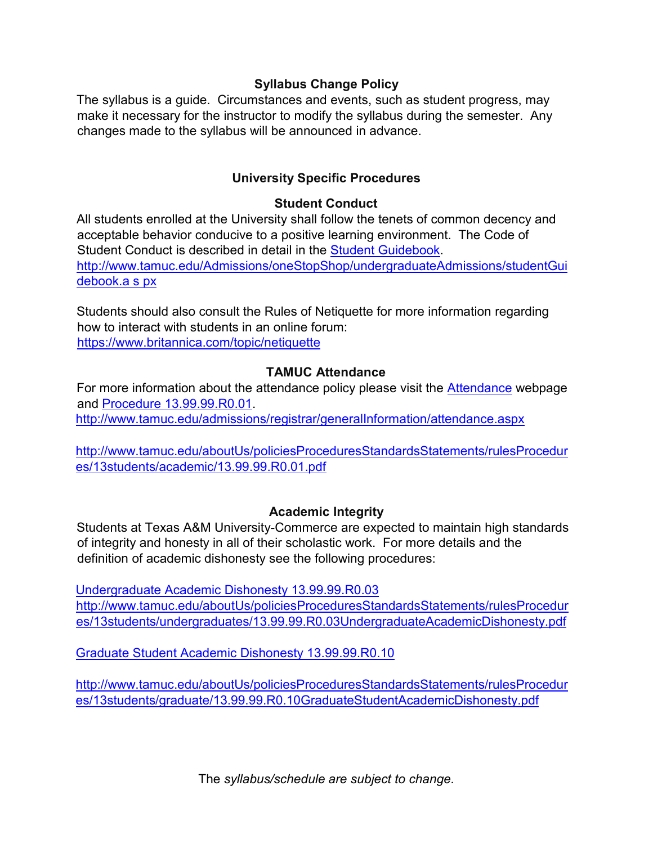### **Syllabus Change Policy**

The syllabus is a guide. Circumstances and events, such as student progress, may make it necessary for the instructor to modify the syllabus during the semester. Any changes made to the syllabus will be announced in advance.

#### **University Specific Procedures**

#### **Student Conduct**

All students enrolled at the University shall follow the tenets of common decency and acceptable behavior conducive to a positive learning environment. The Code of Student Conduct is described in detail in t[he](http://www.tamuc.edu/Admissions/oneStopShop/undergraduateAdmissions/studentGuidebook.aspx) [Student Guidebook.](http://www.tamuc.edu/Admissions/oneStopShop/undergraduateAdmissions/studentGuidebook.aspx) [http://www.tamuc.edu/Admissions/oneStopShop/undergraduateAdmissions/studentGui](http://www.tamuc.edu/Admissions/oneStopShop/undergraduateAdmissions/studentGuidebook.aspx) [debook.a s](http://www.tamuc.edu/Admissions/oneStopShop/undergraduateAdmissions/studentGuidebook.aspx) [px](http://www.tamuc.edu/Admissions/oneStopShop/undergraduateAdmissions/studentGuidebook.aspx)

Students should also consult the Rules of Netiquette for more information regarding how to interact with students in an online forum: https://www.britannica.com/topic/netiquette

#### **TAMUC Attendance**

For more information about the attendance policy please visit the [Attendance](http://www.tamuc.edu/admissions/registrar/generalInformation/attendance.aspx) [we](http://www.tamuc.edu/admissions/registrar/generalInformation/attendance.aspx)bpage and [Procedure 13.99.99.R0.01.](http://www.tamuc.edu/aboutUs/policiesProceduresStandardsStatements/rulesProcedures/13students/academic/13.99.99.R0.01.pdf)

<http://www.tamuc.edu/admissions/registrar/generalInformation/attendance.aspx>

[http://www.tamuc.edu/aboutUs/policiesProceduresStandardsStatements/rulesProcedur](http://www.tamuc.edu/aboutUs/policiesProceduresStandardsStatements/rulesProcedures/13students/academic/13.99.99.R0.01.pdf) [es/13students/academic/13.99.99.R0.01.pdf](http://www.tamuc.edu/aboutUs/policiesProceduresStandardsStatements/rulesProcedures/13students/academic/13.99.99.R0.01.pdf) 

### **Academic Integrity**

Students at Texas A&M University-Commerce are expected to maintain high standards of integrity and honesty in all of their scholastic work. For more details and the definition of academic dishonesty see the following procedures:

[Undergraduate Academic Dishonesty 13.99.99.R0.03](http://www.tamuc.edu/aboutUs/policiesProceduresStandardsStatements/rulesProcedures/13students/undergraduates/13.99.99.R0.03UndergraduateAcademicDishonesty.pdf) [http://www.tamuc.edu/aboutUs/policiesProceduresStandardsStatements/rulesProcedur](http://www.tamuc.edu/aboutUs/policiesProceduresStandardsStatements/rulesProcedures/13students/undergraduates/13.99.99.R0.03UndergraduateAcademicDishonesty.pdf) [es/13students/undergraduates/13.99.99.R0.03UndergraduateAcademicDishonesty.pdf](http://www.tamuc.edu/aboutUs/policiesProceduresStandardsStatements/rulesProcedures/13students/undergraduates/13.99.99.R0.03UndergraduateAcademicDishonesty.pdf) 

[Graduate Student Academic Dishonesty 13.99.99.R0.10](http://www.tamuc.edu/aboutUs/policiesProceduresStandardsStatements/rulesProcedures/13students/graduate/13.99.99.R0.10GraduateStudentAcademicDishonesty.pdf) 

[http://www.tamuc.edu/aboutUs/policiesProceduresStandardsStatements/rulesProcedur](http://www.tamuc.edu/aboutUs/policiesProceduresStandardsStatements/rulesProcedures/13students/graduate/13.99.99.R0.10GraduateStudentAcademicDishonesty.pdf) [es/13students/graduate/13.99.99.R0.10GraduateStudentAcademicDishonesty.pdf](http://www.tamuc.edu/aboutUs/policiesProceduresStandardsStatements/rulesProcedures/13students/graduate/13.99.99.R0.10GraduateStudentAcademicDishonesty.pdf)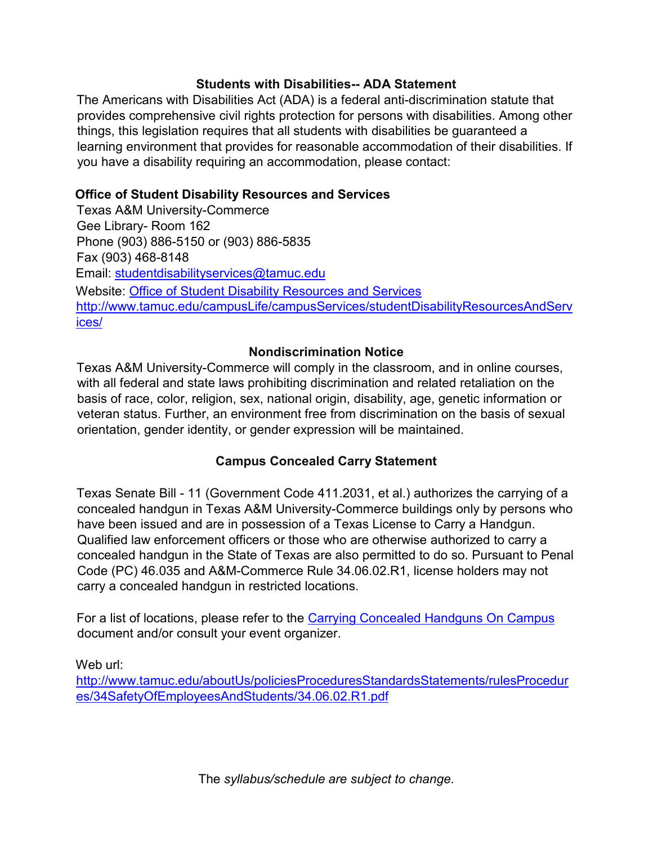#### **Students with Disabilities-- ADA Statement**

The Americans with Disabilities Act (ADA) is a federal anti-discrimination statute that provides comprehensive civil rights protection for persons with disabilities. Among other things, this legislation requires that all students with disabilities be guaranteed a learning environment that provides for reasonable accommodation of their disabilities. If you have a disability requiring an accommodation, please contact:

### **Office of Student Disability Resources and Services**

Texas A&M University-Commerce Gee Library- Room 162 Phone (903) 886-5150 or (903) 886-5835 Fax (903) 468-8148 Email: studentdisabilityservices@tamuc.edu Website: [Office of Student Disability Resources and Services](http://www.tamuc.edu/campusLife/campusServices/studentDisabilityResourcesAndServices/)  [http://www.tamuc.edu/campusLife/campusServices/studentDisabilityResourcesAndServ](http://www.tamuc.edu/campusLife/campusServices/studentDisabilityResourcesAndServices/) [ices/](http://www.tamuc.edu/campusLife/campusServices/studentDisabilityResourcesAndServices/) 

### **Nondiscrimination Notice**

Texas A&M University-Commerce will comply in the classroom, and in online courses, with all federal and state laws prohibiting discrimination and related retaliation on the basis of race, color, religion, sex, national origin, disability, age, genetic information or veteran status. Further, an environment free from discrimination on the basis of sexual orientation, gender identity, or gender expression will be maintained.

### **Campus Concealed Carry Statement**

Texas Senate Bill - 11 (Government Code 411.2031, et al.) authorizes the carrying of a concealed handgun in Texas A&M University-Commerce buildings only by persons who have been issued and are in possession of a Texas License to Carry a Handgun. Qualified law enforcement officers or those who are otherwise authorized to carry a concealed handgun in the State of Texas are also permitted to do so. Pursuant to Penal Code (PC) 46.035 and A&M-Commerce Rule 34.06.02.R1, license holders may not carry a concealed handgun in restricted locations.

For a list of locations, please refer to t[he](http://www.tamuc.edu/aboutUs/policiesProceduresStandardsStatements/rulesProcedures/34SafetyOfEmployeesAndStudents/34.06.02.R1.pdf) [Carrying Concealed Handguns On Campus](http://www.tamuc.edu/aboutUs/policiesProceduresStandardsStatements/rulesProcedures/34SafetyOfEmployeesAndStudents/34.06.02.R1.pdf)  document and/or consult your event organizer.

Web url:

[http://www.tamuc.edu/aboutUs/policiesProceduresStandardsStatements/rulesProcedur](http://www.tamuc.edu/aboutUs/policiesProceduresStandardsStatements/rulesProcedures/34SafetyOfEmployeesAndStudents/34.06.02.R1.pdf) [es/34SafetyOfEmployeesAndStudents/34.06.02.R1.pdf](http://www.tamuc.edu/aboutUs/policiesProceduresStandardsStatements/rulesProcedures/34SafetyOfEmployeesAndStudents/34.06.02.R1.pdf)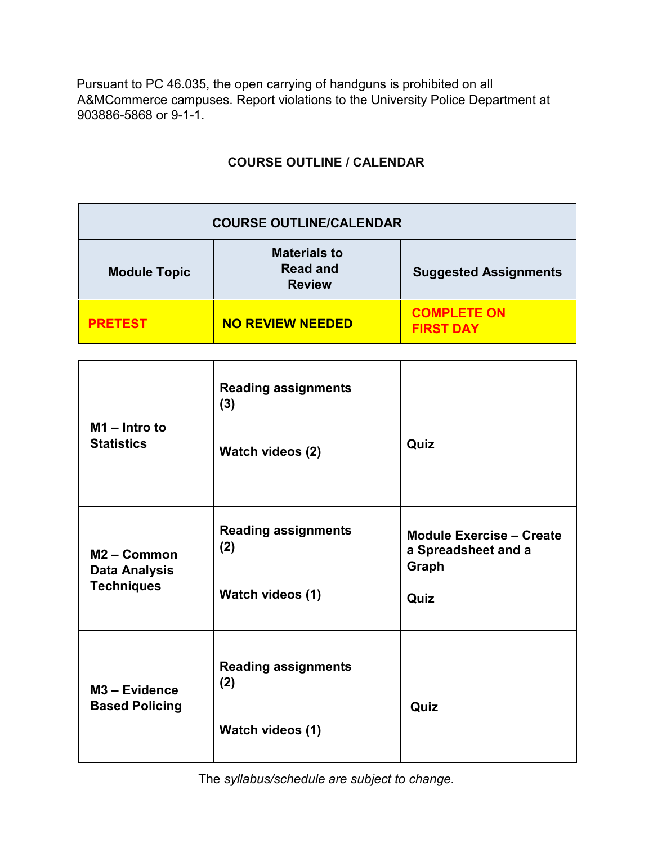Pursuant to PC 46.035, the open carrying of handguns is prohibited on all A&MCommerce campuses. Report violations to the University Police Department at 903886-5868 or 9-1-1.

# **COURSE OUTLINE / CALENDAR**

| <b>COURSE OUTLINE/CALENDAR</b> |                                                         |                                        |  |  |  |
|--------------------------------|---------------------------------------------------------|----------------------------------------|--|--|--|
| <b>Module Topic</b>            | <b>Materials to</b><br><b>Read and</b><br><b>Review</b> | <b>Suggested Assignments</b>           |  |  |  |
| <b>PRETEST</b>                 | <b>NO REVIEW NEEDED</b>                                 | <b>COMPLETE ON</b><br><b>FIRST DAY</b> |  |  |  |

| $M1$ – Intro to<br><b>Statistics</b>                       | <b>Reading assignments</b><br>(3)<br>Watch videos (2) | Quiz                                                                    |
|------------------------------------------------------------|-------------------------------------------------------|-------------------------------------------------------------------------|
| $M2 - Common$<br><b>Data Analysis</b><br><b>Techniques</b> | <b>Reading assignments</b><br>(2)<br>Watch videos (1) | <b>Module Exercise - Create</b><br>a Spreadsheet and a<br>Graph<br>Quiz |
| M <sub>3</sub> - Evidence<br><b>Based Policing</b>         | <b>Reading assignments</b><br>(2)<br>Watch videos (1) | Quiz                                                                    |